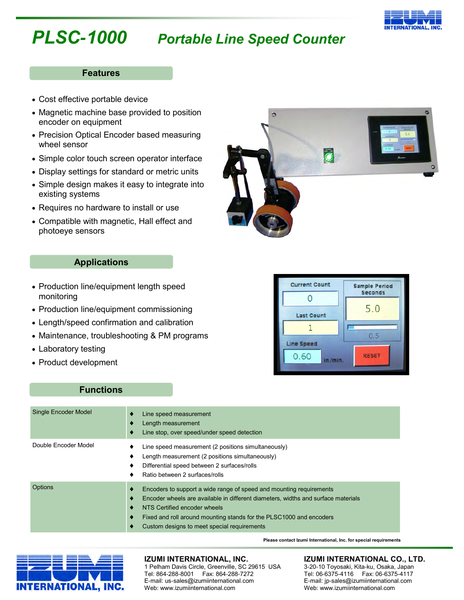# *PLSC-1000 Portable Line Speed Counter*

### **Features**

- Cost effective portable device
- Magnetic machine base provided to position encoder on equipment
- Precision Optical Encoder based measuring wheel sensor
- Simple color touch screen operator interface
- Display settings for standard or metric units
- Simple design makes it easy to integrate into existing systems
- Requires no hardware to install or use
- Compatible with magnetic, Hall effect and photoeye sensors



# **Applications**

- Production line/equipment length speed monitoring
- Production line/equipment commissioning
- Length/speed confirmation and calibration
- Maintenance, troubleshooting & PM programs
- Laboratory testing
- Product development



## **Functions**

| Single Encoder Model | Line speed measurement<br>٠<br>Length measurement<br>Line stop, over speed/under speed detection<br>٠                                                                                                                                                                                                                              |
|----------------------|------------------------------------------------------------------------------------------------------------------------------------------------------------------------------------------------------------------------------------------------------------------------------------------------------------------------------------|
| Double Encoder Model | Line speed measurement (2 positions simultaneously)<br>٠<br>Length measurement (2 positions simultaneously)<br>٠<br>Differential speed between 2 surfaces/rolls<br>Ratio between 2 surfaces/rolls                                                                                                                                  |
| Options              | Encoders to support a wide range of speed and mounting requirements<br>٠<br>Encoder wheels are available in different diameters, widths and surface materials<br>◆<br>NTS Certified encoder wheels<br>٠<br>Fixed and roll around mounting stands for the PLSC1000 and encoders<br>٠<br>Custom designs to meet special requirements |



### **IZUMI INTERNATIONAL, INC.**

1 Pelham Davis Circle, Greenville, SC 29615 USA Tel: 864-288-8001 Fax: 864-288-7272 E-mail: us-sales@izumiinternational.com Web: www.izumiinternational.com

#### **IZUMI INTERNATIONAL CO., LTD.**

3-20-10 Toyosaki, Kita-ku, Osaka, Japan Tel: 06-6375-4116 Fax: 06-6375-4117 E-mail: jp-sales@izumiinternational.com Web: www.izumiinternational.com

**Please contact Izumi International, Inc. for special requirements**